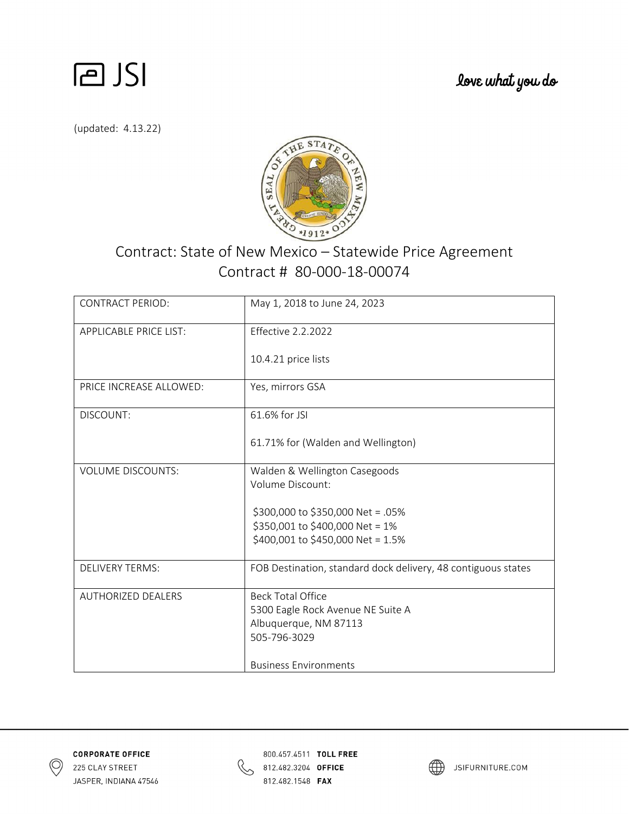

love what you do

(updated: 4.13.22)



## Contract: State of New Mexico – Statewide Price Agreement Contract # 80‐000‐18‐00074

| <b>CONTRACT PERIOD:</b>       | May 1, 2018 to June 24, 2023                                  |
|-------------------------------|---------------------------------------------------------------|
| <b>APPLICABLE PRICE LIST:</b> | <b>Effective 2.2.2022</b>                                     |
|                               | 10.4.21 price lists                                           |
| PRICE INCREASE ALLOWED:       | Yes, mirrors GSA                                              |
| DISCOUNT:                     | 61.6% for JSI                                                 |
|                               | 61.71% for (Walden and Wellington)                            |
| <b>VOLUME DISCOUNTS:</b>      | Walden & Wellington Casegoods                                 |
|                               | Volume Discount:                                              |
|                               | \$300,000 to \$350,000 Net = .05%                             |
|                               | \$350,001 to \$400,000 Net = 1%                               |
|                               | \$400,001 to \$450,000 Net = 1.5%                             |
| <b>DELIVERY TERMS:</b>        | FOB Destination, standard dock delivery, 48 contiguous states |
| <b>AUTHORIZED DEALERS</b>     | <b>Beck Total Office</b>                                      |
|                               | 5300 Eagle Rock Avenue NE Suite A                             |
|                               | Albuquerque, NM 87113                                         |
|                               | 505-796-3029                                                  |
|                               | <b>Business Environments</b>                                  |





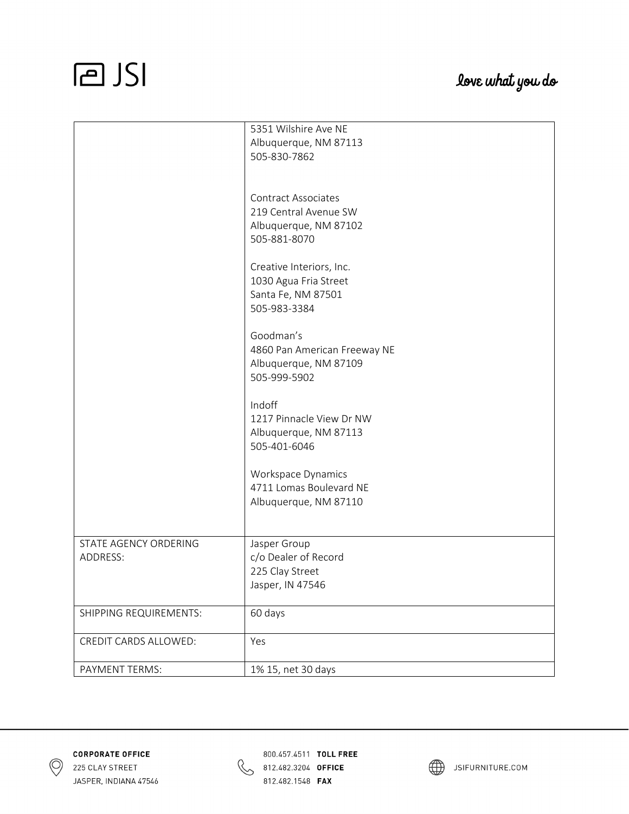|                        | 5351 Wilshire Ave NE         |
|------------------------|------------------------------|
|                        | Albuquerque, NM 87113        |
|                        | 505-830-7862                 |
|                        |                              |
|                        |                              |
|                        | <b>Contract Associates</b>   |
|                        | 219 Central Avenue SW        |
|                        | Albuquerque, NM 87102        |
|                        | 505-881-8070                 |
|                        |                              |
|                        |                              |
|                        | Creative Interiors, Inc.     |
|                        | 1030 Agua Fria Street        |
|                        | Santa Fe, NM 87501           |
|                        | 505-983-3384                 |
|                        |                              |
|                        | Goodman's                    |
|                        | 4860 Pan American Freeway NE |
|                        | Albuquerque, NM 87109        |
|                        | 505-999-5902                 |
|                        |                              |
|                        | Indoff                       |
|                        | 1217 Pinnacle View Dr NW     |
|                        | Albuquerque, NM 87113        |
|                        | 505-401-6046                 |
|                        |                              |
|                        | Workspace Dynamics           |
|                        | 4711 Lomas Boulevard NE      |
|                        | Albuquerque, NM 87110        |
|                        |                              |
|                        |                              |
| STATE AGENCY ORDERING  | Jasper Group                 |
| ADDRESS:               | c/o Dealer of Record         |
|                        | 225 Clay Street              |
|                        |                              |
|                        | Jasper, IN 47546             |
| SHIPPING REQUIREMENTS: |                              |
|                        | 60 days                      |
| CREDIT CARDS ALLOWED:  | Yes                          |
| PAYMENT TERMS:         | 1% 15, net 30 days           |





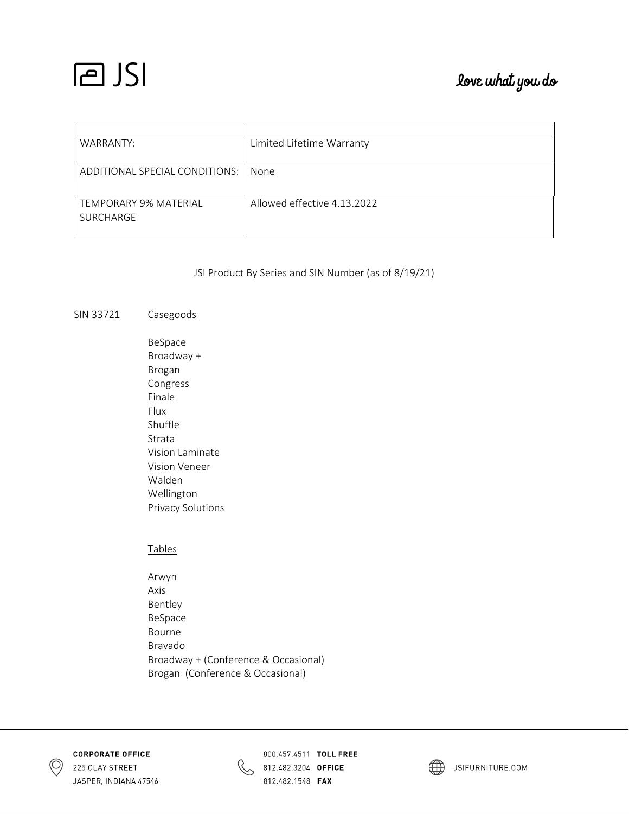## love what you do

| WARRANTY:                                 | Limited Lifetime Warranty   |
|-------------------------------------------|-----------------------------|
|                                           |                             |
| ADDITIONAL SPECIAL CONDITIONS:            | None                        |
| <b>TEMPORARY 9% MATERIAL</b><br>SURCHARGE | Allowed effective 4.13.2022 |

JSI Product By Series and SIN Number (as of 8/19/21)

#### SIN 33721 Casegoods

| BeSpace           |
|-------------------|
| Broadway +        |
| Brogan            |
| Congress          |
| Finale            |
| Flux              |
| Shuffle           |
| Strata            |
| Vision Laminate   |
| Vision Veneer     |
| Walden            |
| Wellington        |
| Privacy Solutions |

Tables

 Arwyn Axis Bentley BeSpace Bourne Bravado Broadway + (Conference & Occasional) Brogan (Conference & Occasional)





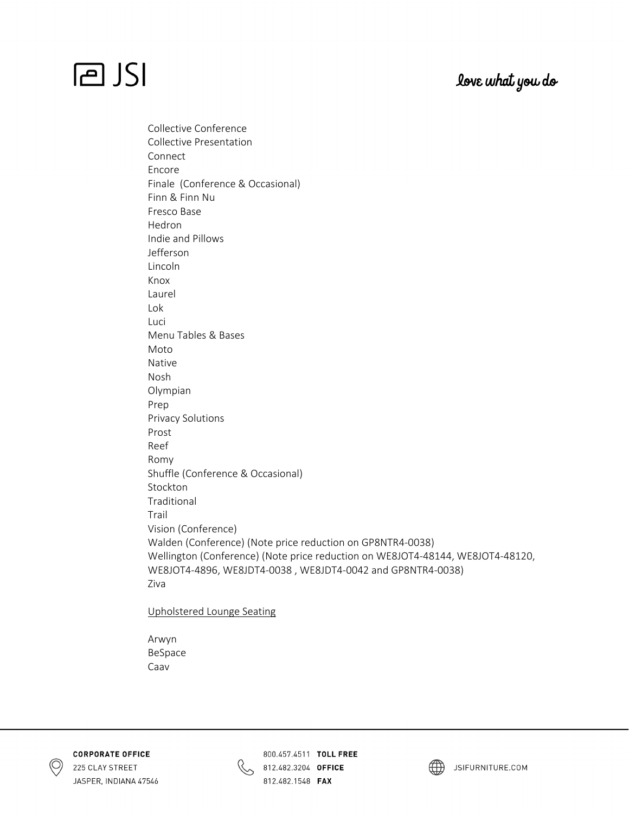## love what you do

## **PJSI**

Collective Conference

Collective Presentation Connect Encore Finale (Conference & Occasional) Finn & Finn Nu Fresco Base Hedron Indie and Pillows Jefferson Lincoln Knox Laurel Lok Luci Menu Tables & Bases Moto Native Nosh Olympian Prep Privacy Solutions Prost Reef Romy Shuffle (Conference & Occasional) Stockton Traditional Trail Vision (Conference) Walden (Conference) (Note price reduction on GP8NTR4‐0038) Wellington (Conference) (Note price reduction on WE8JOT4‐48144, WE8JOT4‐48120, WE8JOT4‐4896, WE8JDT4‐0038 , WE8JDT4‐0042 and GP8NTR4‐0038) Ziva

Upholstered Lounge Seating

 Arwyn BeSpace Caav





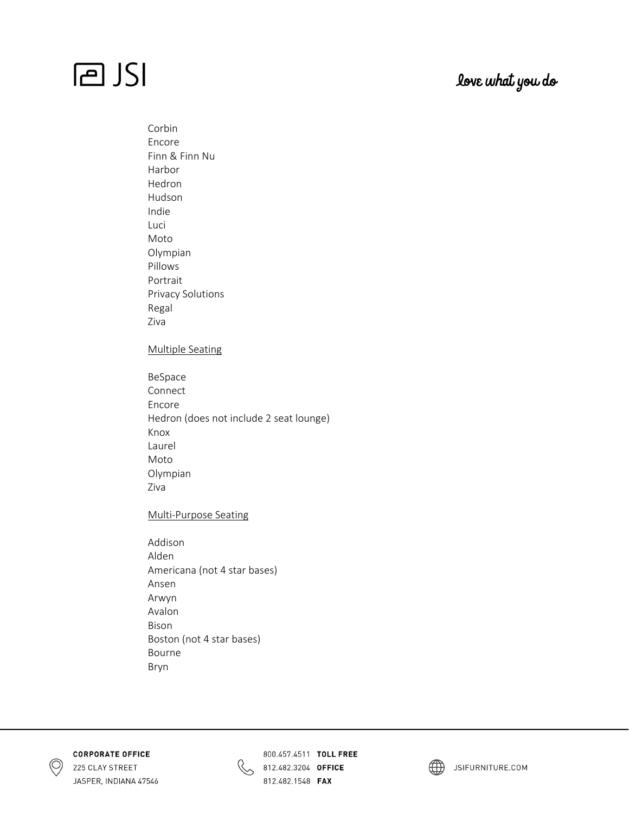## love what you do

 Corbin Encore Finn & Finn Nu Harbor Hedron Hudson Indie Luci Moto Olympian Pillows Portrait Privacy Solutions Regal Ziva

### Multiple Seating

 BeSpace Connect Encore Hedron (does not include 2 seat lounge) Knox Laurel Moto Olympian Ziva

### Multi‐Purpose Seating

 Addison Alden Americana (not 4 star bases) Ansen Arwyn Avalon Bison Boston (not 4 star bases) Bourne Bryn





800.457.4511 TOLL FREE 812.482.3204 OFFICE 812.482.1548 **FAX** 

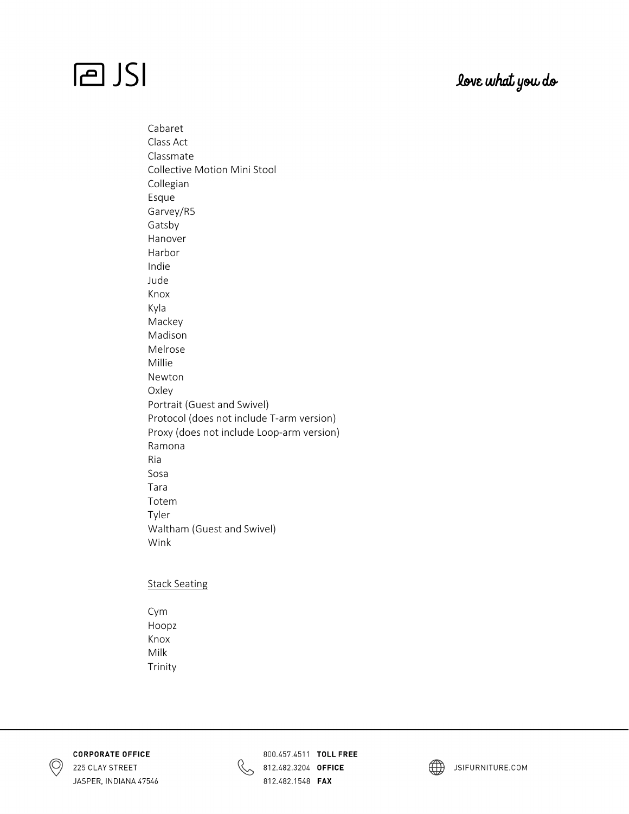### love what you do

 Cabaret Class Act Classmate Collective Motion Mini Stool Collegian Esque Garvey/R5 Gatsby Hanover Harbor Indie Jude Knox Kyla Mackey Madison Melrose Millie Newton Oxley Portrait (Guest and Swivel) Protocol (does not include T‐arm version) Proxy (does not include Loop‐arm version) Ramona Ria Sosa Tara Totem Tyler Waltham (Guest and Swivel) Wink

#### Stack Seating

 Cym Hoopz Knox Milk Trinity



**CORPORATE OFFICE** 225 CLAY STREET JASPER, INDIANA 47546



800.457.4511 TOLL FREE 812.482.3204 OFFICE 812.482.1548 **FAX** 



JSIFURNITURE.COM